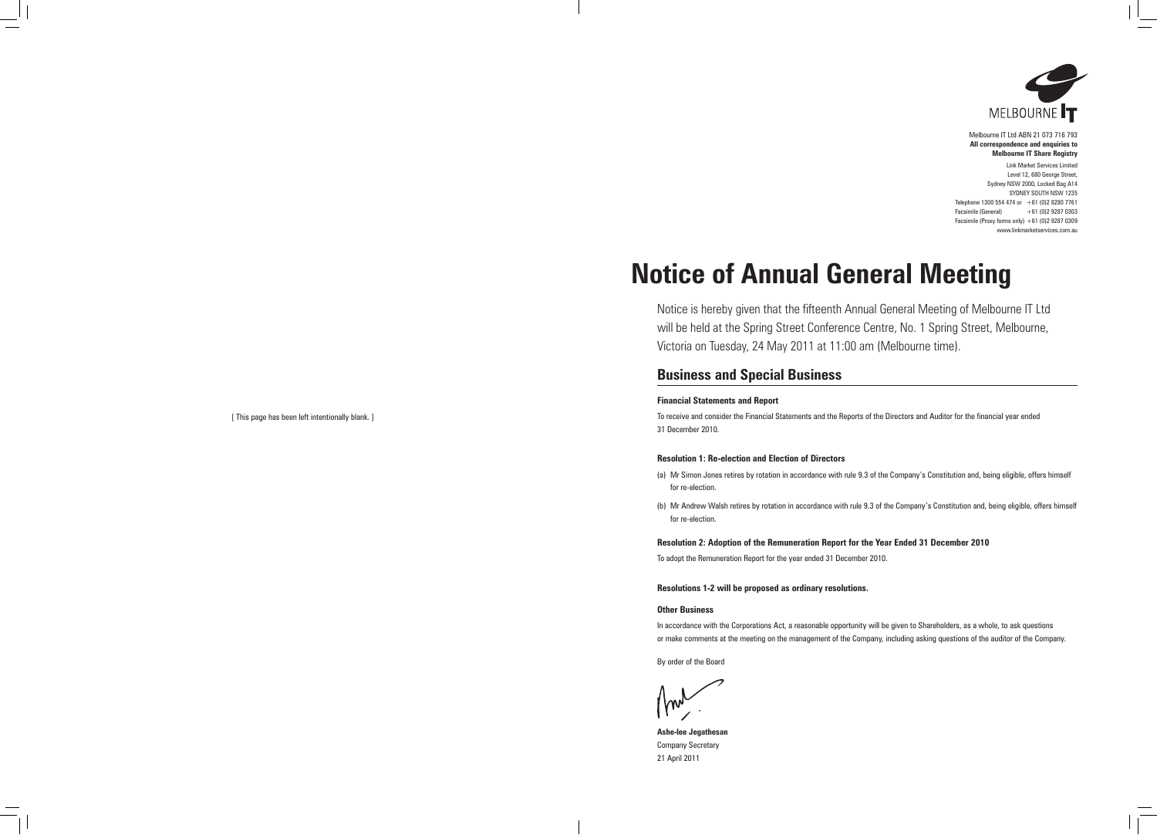

Melbourne IT Ltd ABN 21 073 716 793 **All correspondence and enquiries to Melbourne IT Share Registry**

Link Market Services Limited Level 12, 680 George Street, Sydney NSW 2000, Locked Bag A14 SYDNEY SOUTH NSW 1235 Telephone 1300 554 474 or +61 (0)2 8280 7761 Facsimile (General) +61 (0)2 9287 0303 Facsimile (Proxy forms only)  $+61$  (0)2 9287 0309 www.linkmarketservices.com.au

# **Notice of Annual General Meeting**

Notice is hereby given that the fifteenth Annual General Meeting of Melbourne IT Ltd will be held at the Spring Street Conference Centre, No. 1 Spring Street, Melbourne, Victoria on Tuesday, 24 May 2011 at 11:00 am (Melbourne time).

## **Business and Special Business**

### **Financial Statements and Report**

To receive and consider the Financial Statements and the Reports of the Directors and Auditor for the financial year ended 31 December 2010.

### **Resolution 1: Re-election and Election of Directors**

- (a) Mr Simon Jones retires by rotation in accordance with rule 9.3 of the Company's Constitution and, being eligible, offers himself for re-election.
- (b) Mr Andrew Walsh retires by rotation in accordance with rule 9.3 of the Company's Constitution and, being eligible, offers himself for re-election.

### **Resolution 2: Adoption of the Remuneration Report for the Year Ended 31 December 2010**

To adopt the Remuneration Report for the year ended 31 December 2010.

### **Resolutions 1-2 will be proposed as ordinary resolutions.**

### **Other Business**

In accordance with the Corporations Act, a reasonable opportunity will be given to Shareholders, as a whole, to ask questions or make comments at the meeting on the management of the Company, including asking questions of the auditor of the Company.

By order of the Board

**Ashe-lee Jegathesan** Company Secretary 21 April 2011